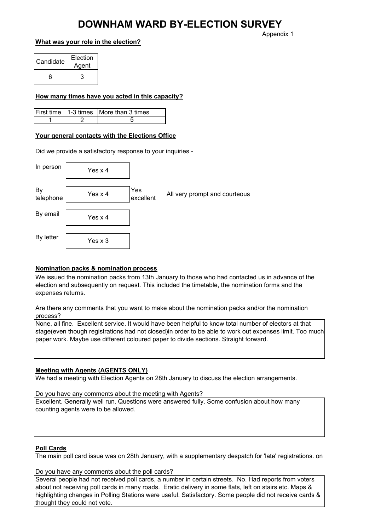## DOWNHAM WARD BY-ELECTION SURVEY

#### What was your role in the election?

Candidate Election Agent 6 3

#### How many times have you acted in this capacity?

|  | First time 1-3 times More than 3 times |
|--|----------------------------------------|
|  |                                        |

### Your general contacts with the Elections Office

Did we provide a satisfactory response to your inquiries -

| In person       | Yes x 4 |                  |                               |
|-----------------|---------|------------------|-------------------------------|
| By<br>telephone | Yes x 4 | Yes<br>excellent | All very prompt and courteous |
| By email        | Yes x 4 |                  |                               |
| By letter       | Yes x 3 |                  |                               |

### Nomination packs & nomination process

We issued the nomination packs from 13th January to those who had contacted us in advance of the election and subsequently on request. This included the timetable, the nomination forms and the expenses returns.

Are there any comments that you want to make about the nomination packs and/or the nomination process?

None, all fine. Excellent service. It would have been helpful to know total number of electors at that stage(even though registrations had not closed)in order to be able to work out expenses limit. Too much paper work. Maybe use different coloured paper to divide sections. Straight forward.

#### Meeting with Agents (AGENTS ONLY)

We had a meeting with Election Agents on 28th January to discuss the election arrangements.

Do you have any comments about the meeting with Agents?

Excellent. Generally well run. Questions were answered fully. Some confusion about how many counting agents were to be allowed.

#### Poll Cards

The main poll card issue was on 28th January, with a supplementary despatch for 'late' registrations. on

Do you have any comments about the poll cards?

Several people had not received poll cards, a number in certain streets. No. Had reports from voters about not receiving poll cards in many roads. Eratic delivery in some flats, left on stairs etc. Maps & highlighting changes in Polling Stations were useful. Satisfactory. Some people did not receive cards & thought they could not vote.

Appendix 1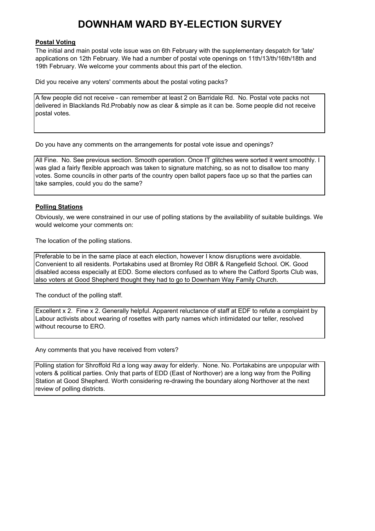# DOWNHAM WARD BY-ELECTION SURVEY

#### Postal Voting

The initial and main postal vote issue was on 6th February with the supplementary despatch for 'late' applications on 12th February. We had a number of postal vote openings on 11th/13/th/16th/18th and 19th February. We welcome your comments about this part of the election.

Did you receive any voters' comments about the postal voting packs?

A few people did not receive - can remember at least 2 on Barridale Rd. No. Postal vote packs not delivered in Blacklands Rd.Probably now as clear & simple as it can be. Some people did not receive postal votes.

Do you have any comments on the arrangements for postal vote issue and openings?

All Fine. No. See previous section. Smooth operation. Once IT glitches were sorted it went smoothly. I was glad a fairly flexible approach was taken to signature matching, so as not to disallow too many votes. Some councils in other parts of the country open ballot papers face up so that the parties can take samples, could you do the same?

#### Polling Stations

Obviously, we were constrained in our use of polling stations by the availability of suitable buildings. We would welcome your comments on:

The location of the polling stations.

Preferable to be in the same place at each election, however I know disruptions were avoidable. Convenient to all residents. Portakabins used at Bromley Rd OBR & Rangefield School. OK. Good disabled access especially at EDD. Some electors confused as to where the Catford Sports Club was, also voters at Good Shepherd thought they had to go to Downham Way Family Church.

The conduct of the polling staff.

Excellent x 2. Fine x 2. Generally helpful. Apparent reluctance of staff at EDF to refute a complaint by Labour activists about wearing of rosettes with party names which intimidated our teller, resolved without recourse to ERO.

Any comments that you have received from voters?

Polling station for Shroffold Rd a long way away for elderly. None. No. Portakabins are unpopular with voters & political parties. Only that parts of EDD (East of Northover) are a long way from the Polling Station at Good Shepherd. Worth considering re-drawing the boundary along Northover at the next review of polling districts.